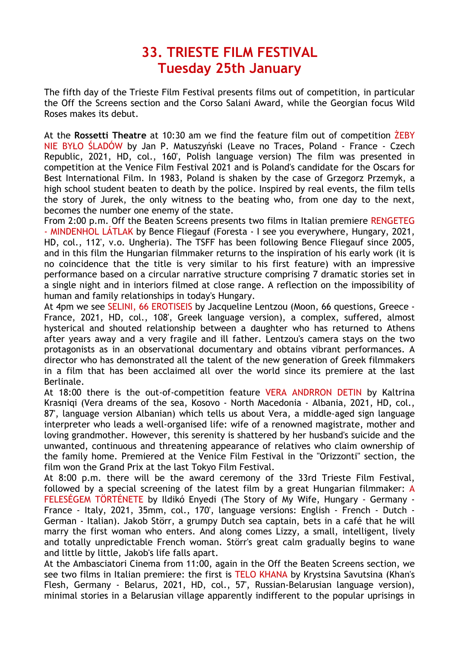## **33. TRIESTE FILM FESTIVAL Tuesday 25th January**

The fifth day of the Trieste Film Festival presents films out of competition, in particular the Off the Screens section and the Corso Salani Award, while the Georgian focus Wild Roses makes its debut.

At the **Rossetti Theatre** at 10:30 am we find the feature film out of competition ŻEBY NIE BYŁO ŚLADÓW by Jan P. Matuszyński (Leave no Traces, Poland - France - Czech Republic, 2021, HD, col., 160', Polish language version) The film was presented in competition at the Venice Film Festival 2021 and is Poland's candidate for the Oscars for Best International Film. In 1983, Poland is shaken by the case of Grzegorz Przemyk, a high school student beaten to death by the police. Inspired by real events, the film tells the story of Jurek, the only witness to the beating who, from one day to the next, becomes the number one enemy of the state.

From 2:00 p.m. Off the Beaten Screens presents two films in Italian premiere RENGETEG - MINDENHOL LÁTLAK by Bence Fliegauf (Foresta - I see you everywhere, Hungary, 2021, HD, col., 112', v.o. Ungheria). The TSFF has been following Bence Fliegauf since 2005, and in this film the Hungarian filmmaker returns to the inspiration of his early work (it is no coincidence that the title is very similar to his first feature) with an impressive performance based on a circular narrative structure comprising 7 dramatic stories set in a single night and in interiors filmed at close range. A reflection on the impossibility of human and family relationships in today's Hungary.

At 4pm we see SELINI, 66 EROTISEIS by Jacqueline Lentzou (Moon, 66 questions, Greece - France, 2021, HD, col., 108', Greek language version), a complex, suffered, almost hysterical and shouted relationship between a daughter who has returned to Athens after years away and a very fragile and ill father. Lentzou's camera stays on the two protagonists as in an observational documentary and obtains vibrant performances. A director who has demonstrated all the talent of the new generation of Greek filmmakers in a film that has been acclaimed all over the world since its premiere at the last Berlinale.

At 18:00 there is the out-of-competition feature VERA ANDRRON DETIN by Kaltrina Krasniqi (Vera dreams of the sea, Kosovo - North Macedonia - Albania, 2021, HD, col., 87', language version Albanian) which tells us about Vera, a middle-aged sign language interpreter who leads a well-organised life: wife of a renowned magistrate, mother and loving grandmother. However, this serenity is shattered by her husband's suicide and the unwanted, continuous and threatening appearance of relatives who claim ownership of the family home. Premiered at the Venice Film Festival in the "Orizzonti" section, the film won the Grand Prix at the last Tokyo Film Festival.

At 8:00 p.m. there will be the award ceremony of the 33rd Trieste Film Festival, followed by a special screening of the latest film by a great Hungarian filmmaker: A FELESÉGEM TÖRTÉNETE by Ildikó Enyedi (The Story of My Wife, Hungary - Germany - France - Italy, 2021, 35mm, col., 170', language versions: English - French - Dutch - German - Italian). Jakob Störr, a grumpy Dutch sea captain, bets in a café that he will marry the first woman who enters. And along comes Lizzy, a small, intelligent, lively and totally unpredictable French woman. Störr's great calm gradually begins to wane and little by little, Jakob's life falls apart.

At the Ambasciatori Cinema from 11:00, again in the Off the Beaten Screens section, we see two films in Italian premiere: the first is TELO KHANA by Krystsina Savutsina (Khan's Flesh, Germany - Belarus, 2021, HD, col., 57', Russian-Belarusian language version), minimal stories in a Belarusian village apparently indifferent to the popular uprisings in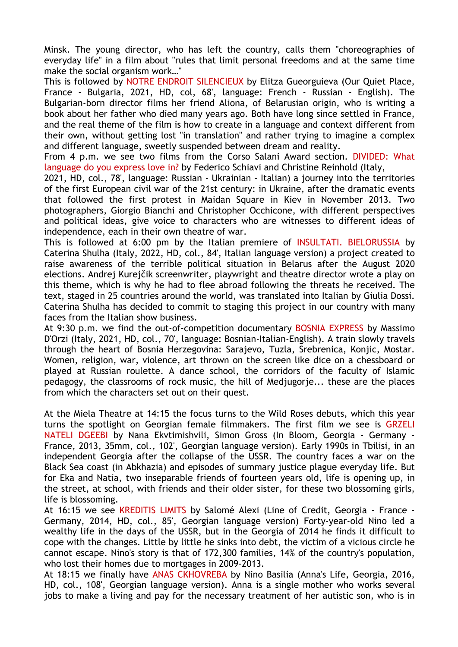Minsk. The young director, who has left the country, calls them "choreographies of everyday life" in a film about "rules that limit personal freedoms and at the same time make the social organism work…"

This is followed by NOTRE ENDROIT SILENCIEUX by Elitza Gueorguieva (Our Quiet Place, France - Bulgaria, 2021, HD, col, 68', language: French - Russian - English). The Bulgarian-born director films her friend Aliona, of Belarusian origin, who is writing a book about her father who died many years ago. Both have long since settled in France, and the real theme of the film is how to create in a language and context different from their own, without getting lost "in translation" and rather trying to imagine a complex and different language, sweetly suspended between dream and reality.

From 4 p.m. we see two films from the Corso Salani Award section. DIVIDED: What language do you express love in? by Federico Schiavi and Christine Reinhold (Italy,

2021, HD, col., 78', language: Russian - Ukrainian - Italian) a journey into the territories of the first European civil war of the 21st century: in Ukraine, after the dramatic events that followed the first protest in Maidan Square in Kiev in November 2013. Two photographers, Giorgio Bianchi and Christopher Occhicone, with different perspectives and political ideas, give voice to characters who are witnesses to different ideas of independence, each in their own theatre of war.

This is followed at 6:00 pm by the Italian premiere of INSULTATI. BIELORUSSIA by Caterina Shulha (Italy, 2022, HD, col., 84', Italian language version) a project created to raise awareness of the terrible political situation in Belarus after the August 2020 elections. Andrej Kurejčik screenwriter, playwright and theatre director wrote a play on this theme, which is why he had to flee abroad following the threats he received. The text, staged in 25 countries around the world, was translated into Italian by Giulia Dossi. Caterina Shulha has decided to commit to staging this project in our country with many faces from the Italian show business.

At 9:30 p.m. we find the out-of-competition documentary BOSNIA EXPRESS by Massimo D'Orzi (Italy, 2021, HD, col., 70', language: Bosnian-Italian-English). A train slowly travels through the heart of Bosnia Herzegovina: Sarajevo, Tuzla, Srebrenica, Konjic, Mostar. Women, religion, war, violence, art thrown on the screen like dice on a chessboard or played at Russian roulette. A dance school, the corridors of the faculty of Islamic pedagogy, the classrooms of rock music, the hill of Medjugorje... these are the places from which the characters set out on their quest.

At the Miela Theatre at 14:15 the focus turns to the Wild Roses debuts, which this year turns the spotlight on Georgian female filmmakers. The first film we see is GRZELI NATELI DGEEBI by Nana Ekvtimishvili, Simon Gross (In Bloom, Georgia - Germany - France, 2013, 35mm, col., 102', Georgian language version). Early 1990s in Tbilisi, in an independent Georgia after the collapse of the USSR. The country faces a war on the Black Sea coast (in Abkhazia) and episodes of summary justice plague everyday life. But for Eka and Natia, two inseparable friends of fourteen years old, life is opening up, in the street, at school, with friends and their older sister, for these two blossoming girls, life is blossoming.

At 16:15 we see KREDITIS LIMITS by Salomé Alexi (Line of Credit, Georgia - France - Germany, 2014, HD, col., 85', Georgian language version) Forty-year-old Nino led a wealthy life in the days of the USSR, but in the Georgia of 2014 he finds it difficult to cope with the changes. Little by little he sinks into debt, the victim of a vicious circle he cannot escape. Nino's story is that of 172,300 families, 14% of the country's population, who lost their homes due to mortgages in 2009-2013.

At 18:15 we finally have ANAS CKHOVREBA by Nino Basilia (Anna's Life, Georgia, 2016, HD, col., 108', Georgian language version). Anna is a single mother who works several jobs to make a living and pay for the necessary treatment of her autistic son, who is in